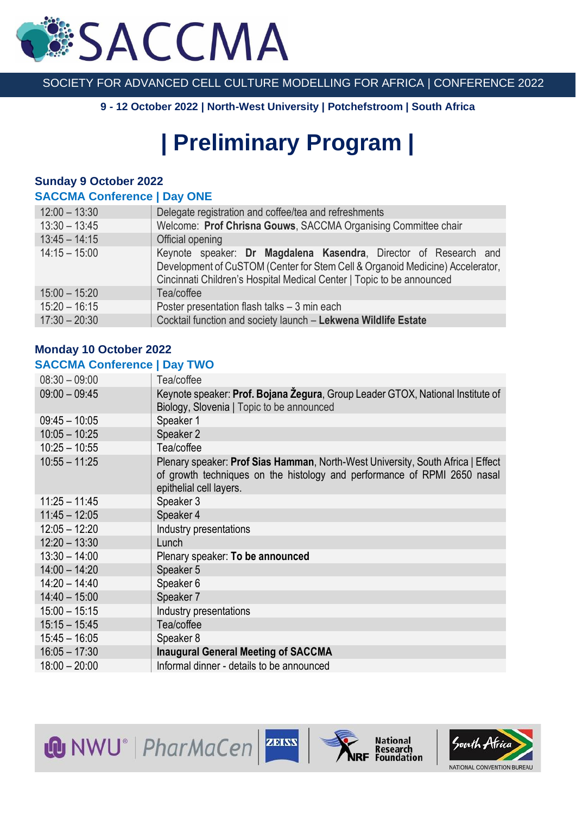# **SACCMA**

#### SOCIETY FOR ADVANCED CELL CULTURE MODELLING FOR AFRICA | CONFERENCE 2022

**9 - 12 October 2022 | North-West University | Potchefstroom | South Africa**

## **| Preliminary Program |**

### **Sunday 9 October 2022**

#### **SACCMA Conference | Day ONE**

| $12:00 - 13:30$ | Delegate registration and coffee/tea and refreshments                                                                                                                                                                      |
|-----------------|----------------------------------------------------------------------------------------------------------------------------------------------------------------------------------------------------------------------------|
| $13:30 - 13:45$ | Welcome: Prof Chrisna Gouws, SACCMA Organising Committee chair                                                                                                                                                             |
| $13:45 - 14:15$ | Official opening                                                                                                                                                                                                           |
| $14:15 - 15:00$ | Keynote speaker: Dr Magdalena Kasendra, Director of Research and<br>Development of CuSTOM (Center for Stem Cell & Organoid Medicine) Accelerator,<br>Cincinnati Children's Hospital Medical Center   Topic to be announced |
| $15:00 - 15:20$ | Tea/coffee                                                                                                                                                                                                                 |
| $15:20 - 16:15$ | Poster presentation flash talks - 3 min each                                                                                                                                                                               |
| $17:30 - 20:30$ | Cocktail function and society launch - Lekwena Wildlife Estate                                                                                                                                                             |

#### **Monday 10 October 2022 SACCMA Conference | Day TWO**

| $08:30 - 09:00$ | Tea/coffee                                                                                                                                                                             |
|-----------------|----------------------------------------------------------------------------------------------------------------------------------------------------------------------------------------|
| $09:00 - 09:45$ | Keynote speaker: Prof. Bojana Zegura, Group Leader GTOX, National Institute of<br>Biology, Slovenia   Topic to be announced                                                            |
| $09:45 - 10:05$ | Speaker 1                                                                                                                                                                              |
| $10:05 - 10:25$ | Speaker 2                                                                                                                                                                              |
| $10:25 - 10:55$ | Tea/coffee                                                                                                                                                                             |
| $10:55 - 11:25$ | Plenary speaker: Prof Sias Hamman, North-West University, South Africa   Effect<br>of growth techniques on the histology and performance of RPMI 2650 nasal<br>epithelial cell layers. |
| $11:25 - 11:45$ | Speaker 3                                                                                                                                                                              |
| $11:45 - 12:05$ | Speaker 4                                                                                                                                                                              |
| $12:05 - 12:20$ | Industry presentations                                                                                                                                                                 |
| $12:20 - 13:30$ | Lunch                                                                                                                                                                                  |
| $13:30 - 14:00$ | Plenary speaker: To be announced                                                                                                                                                       |
| $14:00 - 14:20$ | Speaker 5                                                                                                                                                                              |
| $14:20 - 14:40$ | Speaker 6                                                                                                                                                                              |
| $14:40 - 15:00$ | Speaker 7                                                                                                                                                                              |
| $15:00 - 15:15$ | Industry presentations                                                                                                                                                                 |
| $15:15 - 15:45$ | Tea/coffee                                                                                                                                                                             |
| $15:45 - 16:05$ | Speaker 8                                                                                                                                                                              |
| $16:05 - 17:30$ | <b>Inaugural General Meeting of SACCMA</b>                                                                                                                                             |
| $18:00 - 20:00$ | Informal dinner - details to be announced                                                                                                                                              |

**W** NWU<sup>®</sup> | PharMaCen | ZEISS



National<br>Research<br>Foundation

South Africa NATIONAL CONVENTION BUREAU